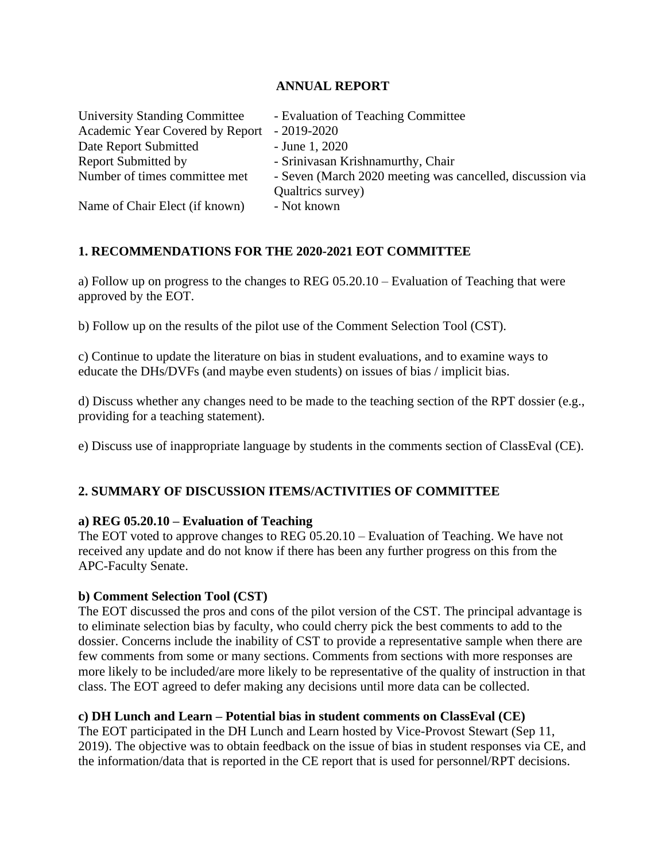## **ANNUAL REPORT**

| <b>University Standing Committee</b> | - Evaluation of Teaching Committee                                             |
|--------------------------------------|--------------------------------------------------------------------------------|
| Academic Year Covered by Report      | $-2019-2020$                                                                   |
| Date Report Submitted                | $-$ June 1, 2020                                                               |
| <b>Report Submitted by</b>           | - Srinivasan Krishnamurthy, Chair                                              |
| Number of times committee met        | - Seven (March 2020 meeting was cancelled, discussion via<br>Qualtrics survey) |
| Name of Chair Elect (if known)       | - Not known                                                                    |

# **1. RECOMMENDATIONS FOR THE 2020-2021 EOT COMMITTEE**

a) Follow up on progress to the changes to REG 05.20.10 – Evaluation of Teaching that were approved by the EOT.

b) Follow up on the results of the pilot use of the Comment Selection Tool (CST).

c) Continue to update the literature on bias in student evaluations, and to examine ways to educate the DHs/DVFs (and maybe even students) on issues of bias / implicit bias.

d) Discuss whether any changes need to be made to the teaching section of the RPT dossier (e.g., providing for a teaching statement).

e) Discuss use of inappropriate language by students in the comments section of ClassEval (CE).

# **2. SUMMARY OF DISCUSSION ITEMS/ACTIVITIES OF COMMITTEE**

## **a) REG 05.20.10 – Evaluation of Teaching**

The EOT voted to approve changes to REG 05.20.10 – Evaluation of Teaching. We have not received any update and do not know if there has been any further progress on this from the APC-Faculty Senate.

## **b) Comment Selection Tool (CST)**

The EOT discussed the pros and cons of the pilot version of the CST. The principal advantage is to eliminate selection bias by faculty, who could cherry pick the best comments to add to the dossier. Concerns include the inability of CST to provide a representative sample when there are few comments from some or many sections. Comments from sections with more responses are more likely to be included/are more likely to be representative of the quality of instruction in that class. The EOT agreed to defer making any decisions until more data can be collected.

## **c) DH Lunch and Learn – Potential bias in student comments on ClassEval (CE)**

The EOT participated in the DH Lunch and Learn hosted by Vice-Provost Stewart (Sep 11, 2019). The objective was to obtain feedback on the issue of bias in student responses via CE, and the information/data that is reported in the CE report that is used for personnel/RPT decisions.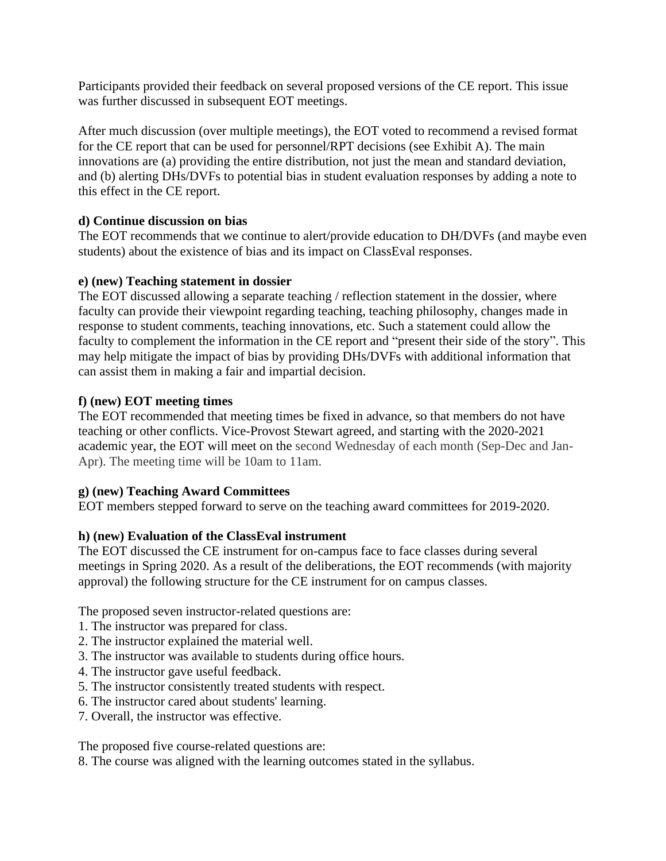Participants provided their feedback on several proposed versions of the CE report. This issue was further discussed in subsequent EOT meetings.

After much discussion (over multiple meetings), the EOT voted to recommend a revised format for the CE report that can be used for personnel/RPT decisions (see Exhibit A). The main innovations are (a) providing the entire distribution, not just the mean and standard deviation, and (b) alerting DHs/DVFs to potential bias in student evaluation responses by adding a note to this effect in the CE report.

# **d) Continue discussion on bias**

The EOT recommends that we continue to alert/provide education to DH/DVFs (and maybe even students) about the existence of bias and its impact on ClassEval responses.

## **e) (new) Teaching statement in dossier**

The EOT discussed allowing a separate teaching / reflection statement in the dossier, where faculty can provide their viewpoint regarding teaching, teaching philosophy, changes made in response to student comments, teaching innovations, etc. Such a statement could allow the faculty to complement the information in the CE report and "present their side of the story". This may help mitigate the impact of bias by providing DHs/DVFs with additional information that can assist them in making a fair and impartial decision.

## **f) (new) EOT meeting times**

The EOT recommended that meeting times be fixed in advance, so that members do not have teaching or other conflicts. Vice-Provost Stewart agreed, and starting with the 2020-2021 academic year, the EOT will meet on the second Wednesday of each month (Sep-Dec and Jan-Apr). The meeting time will be 10am to 11am.

## **g) (new) Teaching Award Committees**

EOT members stepped forward to serve on the teaching award committees for 2019-2020.

# **h) (new) Evaluation of the ClassEval instrument**

The EOT discussed the CE instrument for on-campus face to face classes during several meetings in Spring 2020. As a result of the deliberations, the EOT recommends (with majority approval) the following structure for the CE instrument for on campus classes.

The proposed seven instructor-related questions are:

- 1. The instructor was prepared for class.
- 2. The instructor explained the material well.
- 3. The instructor was available to students during office hours.
- 4. The instructor gave useful feedback.
- 5. The instructor consistently treated students with respect.
- 6. The instructor cared about students' learning.
- 7. Overall, the instructor was effective.

The proposed five course-related questions are:

8. The course was aligned with the learning outcomes stated in the syllabus.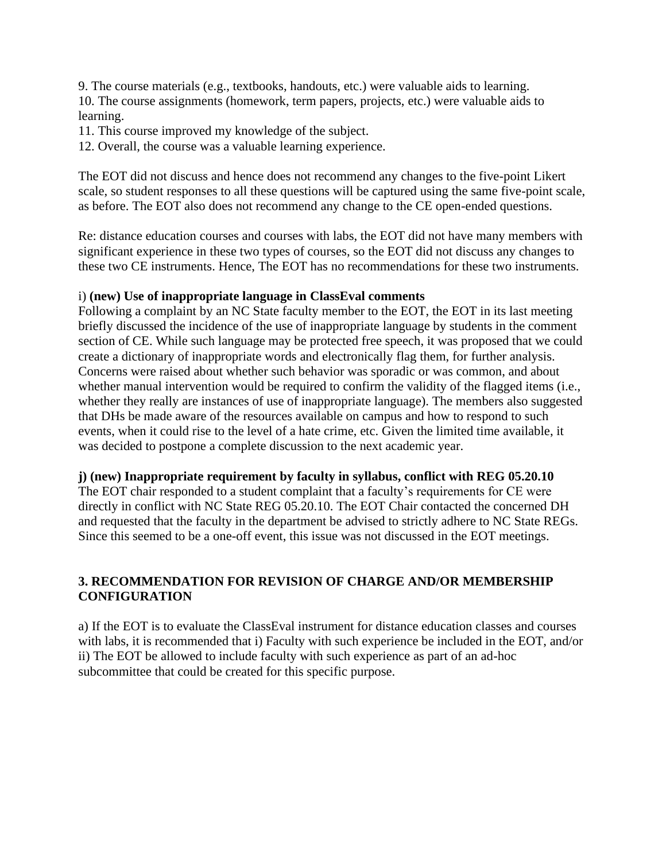9. The course materials (e.g., textbooks, handouts, etc.) were valuable aids to learning. 10. The course assignments (homework, term papers, projects, etc.) were valuable aids to learning.

11. This course improved my knowledge of the subject.

12. Overall, the course was a valuable learning experience.

The EOT did not discuss and hence does not recommend any changes to the five-point Likert scale, so student responses to all these questions will be captured using the same five-point scale, as before. The EOT also does not recommend any change to the CE open-ended questions.

Re: distance education courses and courses with labs, the EOT did not have many members with significant experience in these two types of courses, so the EOT did not discuss any changes to these two CE instruments. Hence, The EOT has no recommendations for these two instruments.

## i) **(new) Use of inappropriate language in ClassEval comments**

Following a complaint by an NC State faculty member to the EOT, the EOT in its last meeting briefly discussed the incidence of the use of inappropriate language by students in the comment section of CE. While such language may be protected free speech, it was proposed that we could create a dictionary of inappropriate words and electronically flag them, for further analysis. Concerns were raised about whether such behavior was sporadic or was common, and about whether manual intervention would be required to confirm the validity of the flagged items (i.e., whether they really are instances of use of inappropriate language). The members also suggested that DHs be made aware of the resources available on campus and how to respond to such events, when it could rise to the level of a hate crime, etc. Given the limited time available, it was decided to postpone a complete discussion to the next academic year.

## **j) (new) Inappropriate requirement by faculty in syllabus, conflict with REG 05.20.10**

The EOT chair responded to a student complaint that a faculty's requirements for CE were directly in conflict with NC State REG 05.20.10. The EOT Chair contacted the concerned DH and requested that the faculty in the department be advised to strictly adhere to NC State REGs. Since this seemed to be a one-off event, this issue was not discussed in the EOT meetings.

# **3. RECOMMENDATION FOR REVISION OF CHARGE AND/OR MEMBERSHIP CONFIGURATION**

a) If the EOT is to evaluate the ClassEval instrument for distance education classes and courses with labs, it is recommended that i) Faculty with such experience be included in the EOT, and/or ii) The EOT be allowed to include faculty with such experience as part of an ad-hoc subcommittee that could be created for this specific purpose.